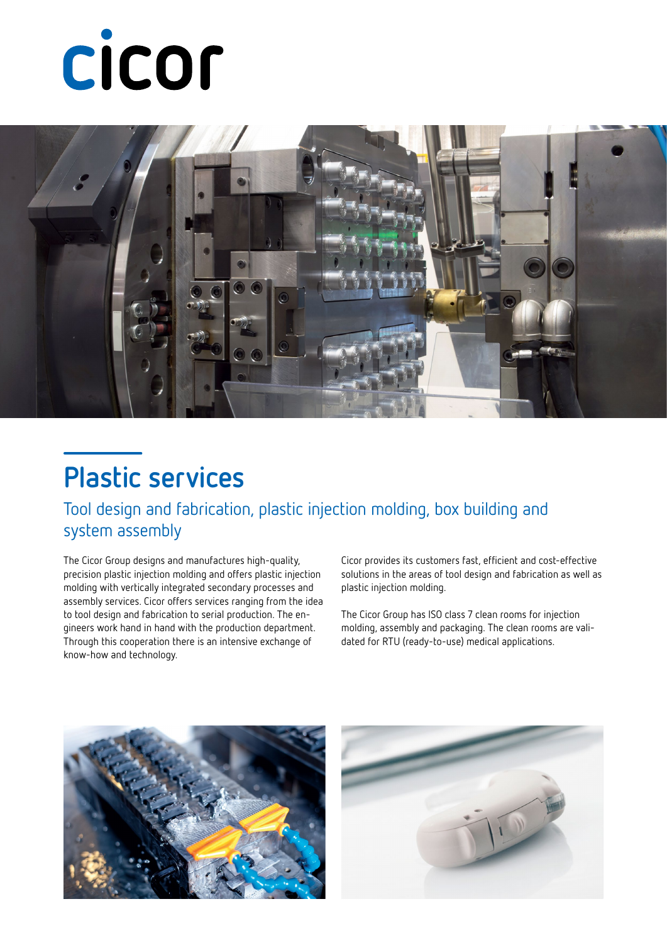# cicor



### **Plastic services**

Tool design and fabrication, plastic injection molding, box building and system assembly

The Cicor Group designs and manufactures high-quality, precision plastic injection molding and offers plastic injection molding with vertically integrated secondary processes and assembly services. Cicor offers services ranging from the idea to tool design and fabrication to serial production. The engineers work hand in hand with the production department. Through this cooperation there is an intensive exchange of know-how and technology.

Cicor provides its customers fast, efficient and cost-effective solutions in the areas of tool design and fabrication as well as plastic injection molding.

The Cicor Group has ISO class 7 clean rooms for injection molding, assembly and packaging. The clean rooms are validated for RTU (ready-to-use) medical applications.